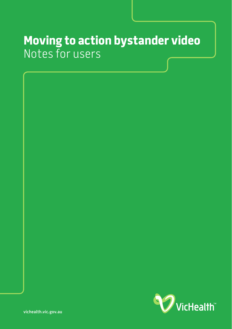# **Moving to action bystander video** Notes for users

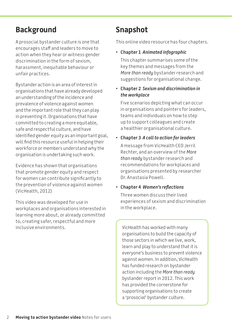### **Background**

A prosocial bystander culture is one that encourages staff and leaders to move to action when they hear or witness gender discrimination in the form of sexism, harassment, inequitable behaviour or unfair practices.

Bystander action is an area of interest in organisations that have already developed an understanding of the incidence and prevalence of violence against women and the important role that they can play in preventing it. Organisations that have committed to creating a more equitable, safe and respectful culture, and have identified gender equity as an important goal, will find this resource useful in helping their workforce or members understand why the organisation is undertaking such work.

Evidence has shown that organisations that promote gender equity and respect for women can contribute significantly to the prevention of violence against women (VicHealth, 2012)

This video was developed for use in workplaces and organisations interested in learning more about, or already committed to, creating safer, respectful and more inclusive environments.

# **Snapshot**

This online video resource has four chapters.

• **Chapter 1** *Animated infographic* 

This chapter summarises some of the key themes and messages from the *More than ready* bystander research and suggestions for organisational change.

• **Chapter 2** *Sexism and discrimination in the workplace*

Five scenarios depicting what can occur in organisations and pointers for leaders, teams and individuals on how to step up to support colleagues and create a healthier organisational culture.

• **Chapter 3** *A call to action for leaders* 

A message from VicHealth CEO Jerril Rechter, and an overview of the *More than ready* bystander research and recommendations for workplaces and organisations presented by researcher Dr. Anastasia Powell.

#### • **Chapter 4** *Women's reflections*

Three women discuss their lived experiences of sexism and discrimination in the workplace.

VicHealth has worked with many organisations to build the capacity of those sectors in which we live, work, learn and play to understand that it is everyone's business to prevent violence against women. In addition, VicHealth has funded research on bystander action including the *More than ready*  bystander report in 2012. This work has provided the cornerstone for supporting organisations to create a 'prosocial' bystander culture.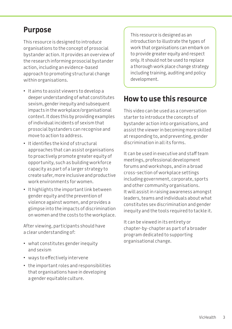### **Purpose**

This resource is designed to introduce organisations to the concept of prosocial bystander action. It provides an overview of the research informing prosocial bystander action, including an evidence-based approach to promoting structural change within organisations.

- It aims to assist viewers to develop a deeper understanding of what constitutes sexism, gender inequity and subsequent impacts in the workplace/organisational context. It does this by providing examples of individual incidents of sexism that prosocial bystanders can recognise and move to action to address.
- It identifies the kind of structural approaches that can assist organisations to proactively promote greater equity of opportunity, such as building workforce capacity as part of a larger strategy to create safer, more inclusive and productive work environments for women.
- It highlights the important link between gender equity and the prevention of violence against women, and provides a glimpse into the impacts of discrimination on women and the costs to the workplace.

After viewing, participants should have a clear understanding of:

- what constitutes gender inequity and sexism
- ways to effectively intervene
- the important roles and responsibilities that organisations have in developing a gender equitable culture.

This resource is designed as an introduction to illustrate the types of work that organisations can embark on to provide greater equity and respect only. It should not be used to replace a thorough work place change strategy including training, auditing and policy development.

### **How to use this resource**

This video can be used as a conversation starter to introduce the concepts of bystander action into organisations, and assist the viewer in becoming more skilled at responding to, and preventing, gender discrimination in all its forms.

It can be used in executive and staff team meetings, professional development forums and workshops, and in a broad cross-section of workplace settings including government, corporate, sports and other community organisations. It will assist in raising awareness amongst leaders, teams and individuals about what constitutes sex discrimination and gender inequity and the tools required to tackle it.

It can be viewed in its entirety or chapter-by-chapter as part of a broader program dedicated to supporting organisational change.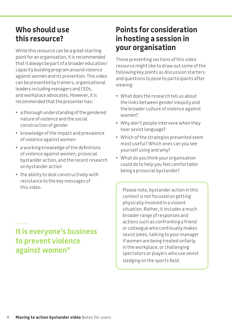## **Who should use this resource?**

While this resource can be a great starting point for an organisation, it is recommended that it always be part of a broader education/ capacity building program around violence against women and its prevention. This video can be presented by trainers, organisational leaders including managers and CEOs, and workplace advocates. However, it is recommended that the presenter has:

- a thorough understanding of the gendered nature of violence and the social construction of gender
- knowledge of the impact and prevalence of violence against women
- a working knowledge of the definitions of violence against women, prosocial bystander action, and the recent research on bystander action
- the ability to deal constructively with resistance to the key messages of this video.

# **Points for consideration in hosting a session in your organisation**

Those presenting sections of this video resource might like to draw out some of the following key points as discussion starters and questions to pose to participants after viewing:

- What does the research tell us about the links between gender inequity and the broader culture of violence against women?
- Why don't people intervene when they hear sexist language?
- Which of the strategies presented seem most useful? Which ones can you see yourself using and why?
- What do you think your organisation could do to help you feel comfortable being a prosocial bystander?

Please note, bystander action in this context is not focused on getting physically involved in a violent situation. Rather, it includes a much broader range of responses and actions such as confronting a friend or colleague who continually makes sexist jokes, talking to your manager if women are being treated unfairly in the workplace, or challenging spectators or players who use sexist sledging on the sports field.

### **It is everyone's business to prevent violence against women"**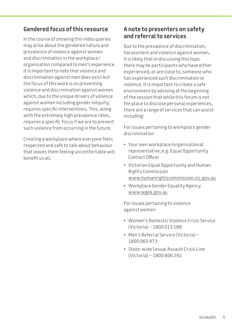### **Gendered focus of this resource**

In the course of showing this video queries may arise about the gendered nature and prevalence of violence against women and discrimination in the workplace/ organisation compared to men's experience. It is important to note that violence and discrimination against men does exist but the focus of this work is on preventing violence and discrimination against women which, due to the unique drivers of violence against women including gender inequity, requires specific interventions. This, along with the extremely high prevalence rates, requires a specific focus if we are to prevent such violence from occurring in the future.

Creating a workplace where everyone feels respected and safe to talk about behaviour that leaves them feeling uncomfortable will benefit us all.

### **A note to presenters on safety and referral to services**

Due to the prevalence of discrimination, harassment and violence against women, it is likely that in discussing this topic there may be participants who have either experienced, or are close to, someone who has experienced such discrimination or violence. It is important to create a safe environment by advising at the beginning of the session that while this forum is not the place to disclose personal experiences, there are a range of services that can assist including:

For issues pertaining to workplace gender discrimination

- Your own workplace/organisational representative, e.g. Equal Opportunity Contact Officer
- Victorian Equal Opportunity and Human Rights Commission [www.humanrightscommission.vic.gov.au](http://www.humanrightscommission.vic.gov.au)
- Workplace Gender Equality Agency [www.wgea.gov.au](http://www.wgea.gov.au)

For issues pertaining to violence against women

- Women's Domestic Violence Crisis Service (Victoria) – 1800 015 188
- Men's Referral Service (Victoria) 1800 065 973
- State-wide Sexual Assault Crisis Line (Victoria) – 1800 806 292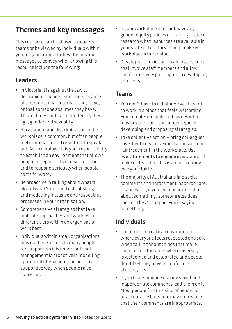# **Themes and key messages**

This resource can be shown to leaders, teams or be viewed by individuals within your organisation. The key themes and messages to convey when showing this resource include the following:

### **Leaders**

- In Victoria it is against the law to discriminate against someone because of a personal characteristic they have, or that someone assumes they have. This includes, but is not limited to, their age, gender and sexuality.
- Harassment and discrimination in the workplace is common, but often people feel intimidated and reluctant to speak out. As an employer it is your responsibility to establish an environment that allows people to report acts of discrimination, and to respond seriously when people come forward.
- Be proactive in talking about what's ok and what's not, and establishing and modelling inclusive and respectful processes in your organisation.
- Comprehensive strategies that take multiple approaches and work with different tiers within an organisation work best.
- Individuals within small organisations may not have access to many people for support, so it is important that management is proactive in modelling appropriate behaviour and acts in a supportive way when people raise concerns.
- If your workplace does not have any gender equity policies or training in place, research what resources are available in your state or territory to help make your workplace a fairer place.
- Develop strategies and training sessions that involve staff members and allow them to actively participate in developing solutions.

### **Teams**

- You don't have to act alone; we all want to work in a place that feels welcoming. Find female and male colleagues who may be allies, and can support you in developing and proposing strategies.
- Take collective action bring colleagues together to discuss expectations around fair treatment in the workplace. Use 'we' statements to engage everyone and make it clear that this is about treating everyone fairly.
- The majority of Australians find sexist comments and harassment inappropriate. Chances are, if you feel uncomfortable about something, someone else does too and they'd support you in saying something.

### **Individuals**

- Our aim is to create an environment where everyone feels respected and safe when talking about things that make them uncomfortable, where diversity is welcomed and celebrated and people don't feel they have to conform to stereotypes.
- If you hear someone making sexist and inappropriate comments, call them on it. Most people find this kind of behaviour unacceptable but some may not realise that their comments are inappropriate.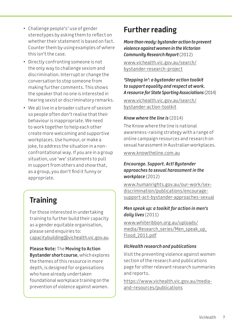- Challenge people's' use of gender stereotypes by asking them to reflect on whether their statement is based on fact. Counter them by using examples of where this isn't the case.
- Directly confronting someone is not the only way to challenge sexism and discrimination. Interrupt or change the conversation to stop someone from making further comments. This shows the speaker that no one is interested in hearing sexist or discriminatory remarks.
- We all live in a broader culture of sexism so people often don't realise that their behaviour is inappropriate. We need to work together to help each other create more welcoming and supportive workplaces. Use humour, or make a joke, to address the situation in a nonconfrontational way. If you are in a group situation, use 'we' statements to pull in support from others and show that, as a group, you don't find it funny or appropriate.

# **Training**

For those interested in undertaking training to further build their capacity as a gender equitable organisation, please send enquiries to: [capacitybuilding@vichealth.vic.gov.au](mailto:capacitybuilding%40vichealth.vic.gov.au?subject=).

**Please Note:** The **Moving to Action Bystander short course**, which explores the themes of this resource in more depth, is designed for organisations who have already undertaken foundational workplace training on the prevention of violence against women.

# **Further reading**

*More than ready: bystander action to prevent violence against women in the Victorian Community Research Report* (2012)

[www.vichealth.vic.gov.au/search/](www.vichealth.vic.gov.au/search/bystander-research-project) [bystander-research-project](www.vichealth.vic.gov.au/search/bystander-research-project)

#### *'Stepping in': a bystander action toolkit to support equality and respect at work. A resource for State Sporting Associations* (2014)

[www.vichealth.vic.gov.au/search/](www.vichealth.vic.gov.au/search/bystander-action-toolkit) [bystander-action-toolkit](www.vichealth.vic.gov.au/search/bystander-action-toolkit)

#### *Know where the line is* (2014)

The Know where the line is national awareness-raising strategy with a range of online campaign resources and research on sexual harassment in Australian workplaces.

[www.knowtheline.com.au](http://www.knowtheline.com.au)

#### *Encourage. Support. Act! Bystander approaches to sexual harassment in the workplace* (2012)

[www.humanrights.gov.au/our-work/sex](http://www.humanrights.gov.au/our-work/sex-discrimination/publications/encourage-support-act-bystander-approaches-sexual)[discrimination/publications/encourage](http://www.humanrights.gov.au/our-work/sex-discrimination/publications/encourage-support-act-bystander-approaches-sexual)[support-act-bystander-approaches-sexual](http://www.humanrights.gov.au/our-work/sex-discrimination/publications/encourage-support-act-bystander-approaches-sexual)

#### *Men speak up: a toolkit for action in men's daily lives* (2011)

[www.whiteribbon.org.au/uploads/](http://www.whiteribbon.org.au/uploads/media/Research_series/Men_speak_up_Flood_2011.pdf) [media/Research\\_series/Men\\_speak\\_up\\_](http://www.whiteribbon.org.au/uploads/media/Research_series/Men_speak_up_Flood_2011.pdf) [Flood\\_2011.pdf](http://www.whiteribbon.org.au/uploads/media/Research_series/Men_speak_up_Flood_2011.pdf)

#### *VicHealth research and publications*

Visit the preventing violence against women section of the research and publications page for other relevant research summaries and reports.

[https://www.vichealth.vic.gov.au/media](https://www.vichealth.vic.gov.au/media-and-resources/publications)[and-resources/publications](https://www.vichealth.vic.gov.au/media-and-resources/publications)